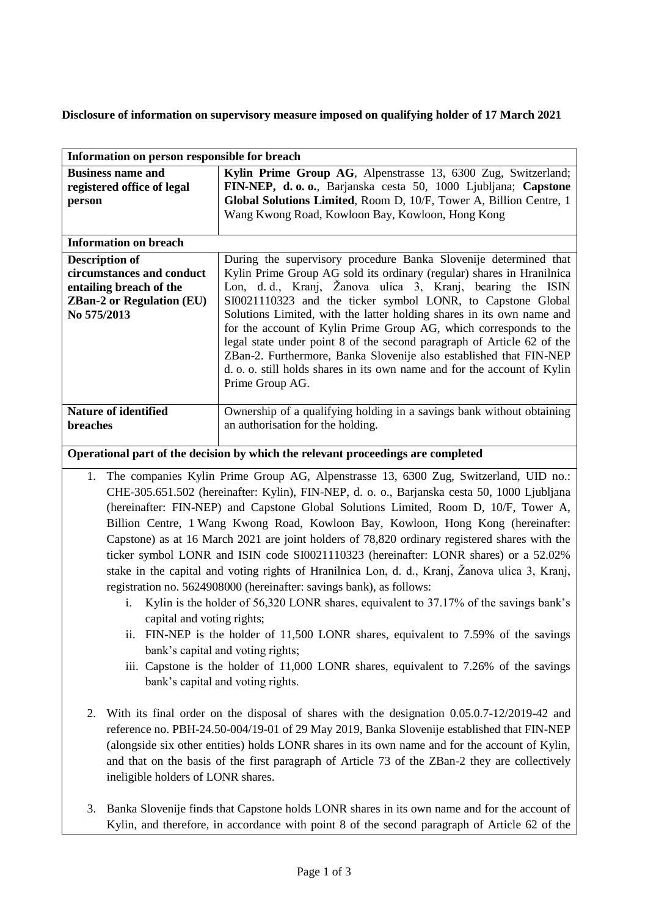**Disclosure of information on supervisory measure imposed on qualifying holder of 17 March 2021**

| Information on person responsible for breach                                                                                     |                                                                                                                                                                                                                                                                                                                                                                                                                                                                                                                                                                                                                                                                     |
|----------------------------------------------------------------------------------------------------------------------------------|---------------------------------------------------------------------------------------------------------------------------------------------------------------------------------------------------------------------------------------------------------------------------------------------------------------------------------------------------------------------------------------------------------------------------------------------------------------------------------------------------------------------------------------------------------------------------------------------------------------------------------------------------------------------|
| <b>Business name and</b><br>registered office of legal<br>person                                                                 | Kylin Prime Group AG, Alpenstrasse 13, 6300 Zug, Switzerland;<br>FIN-NEP, d. o. o., Barjanska cesta 50, 1000 Ljubljana; Capstone<br>Global Solutions Limited, Room D, 10/F, Tower A, Billion Centre, 1<br>Wang Kwong Road, Kowloon Bay, Kowloon, Hong Kong                                                                                                                                                                                                                                                                                                                                                                                                          |
| <b>Information on breach</b>                                                                                                     |                                                                                                                                                                                                                                                                                                                                                                                                                                                                                                                                                                                                                                                                     |
| <b>Description of</b><br>circumstances and conduct<br>entailing breach of the<br><b>ZBan-2 or Regulation (EU)</b><br>No 575/2013 | During the supervisory procedure Banka Slovenije determined that<br>Kylin Prime Group AG sold its ordinary (regular) shares in Hranilnica<br>Lon, d. d., Kranj, Žanova ulica 3, Kranj, bearing the ISIN<br>SI0021110323 and the ticker symbol LONR, to Capstone Global<br>Solutions Limited, with the latter holding shares in its own name and<br>for the account of Kylin Prime Group AG, which corresponds to the<br>legal state under point 8 of the second paragraph of Article 62 of the<br>ZBan-2. Furthermore, Banka Slovenije also established that FIN-NEP<br>d. o. o. still holds shares in its own name and for the account of Kylin<br>Prime Group AG. |
| <b>Nature of identified</b><br>breaches                                                                                          | Ownership of a qualifying holding in a savings bank without obtaining<br>an authorisation for the holding.                                                                                                                                                                                                                                                                                                                                                                                                                                                                                                                                                          |
| Operational part of the decision by which the relevant proceedings are completed                                                 |                                                                                                                                                                                                                                                                                                                                                                                                                                                                                                                                                                                                                                                                     |

- 1. The companies Kylin Prime Group AG, Alpenstrasse 13, 6300 Zug, Switzerland, UID no.: CHE-305.651.502 (hereinafter: Kylin), FIN-NEP, d. o. o., Barjanska cesta 50, 1000 Ljubljana (hereinafter: FIN-NEP) and Capstone Global Solutions Limited, Room D, 10/F, Tower A, Billion Centre, 1 Wang Kwong Road, Kowloon Bay, Kowloon, Hong Kong (hereinafter: Capstone) as at 16 March 2021 are joint holders of 78,820 ordinary registered shares with the ticker symbol LONR and ISIN code SI0021110323 (hereinafter: LONR shares) or a 52.02% stake in the capital and voting rights of Hranilnica Lon, d. d., Kranj, Žanova ulica 3, Kranj, registration no. 5624908000 (hereinafter: savings bank), as follows:
	- i. Kylin is the holder of 56,320 LONR shares, equivalent to 37.17% of the savings bank's capital and voting rights;
	- ii. FIN-NEP is the holder of 11,500 LONR shares, equivalent to 7.59% of the savings bank's capital and voting rights;
	- iii. Capstone is the holder of 11,000 LONR shares, equivalent to 7.26% of the savings bank's capital and voting rights.
- 2. With its final order on the disposal of shares with the designation 0.05.0.7-12/2019-42 and reference no. PBH-24.50-004/19-01 of 29 May 2019, Banka Slovenije established that FIN-NEP (alongside six other entities) holds LONR shares in its own name and for the account of Kylin, and that on the basis of the first paragraph of Article 73 of the ZBan-2 they are collectively ineligible holders of LONR shares.
- 3. Banka Slovenije finds that Capstone holds LONR shares in its own name and for the account of Kylin, and therefore, in accordance with point 8 of the second paragraph of Article 62 of the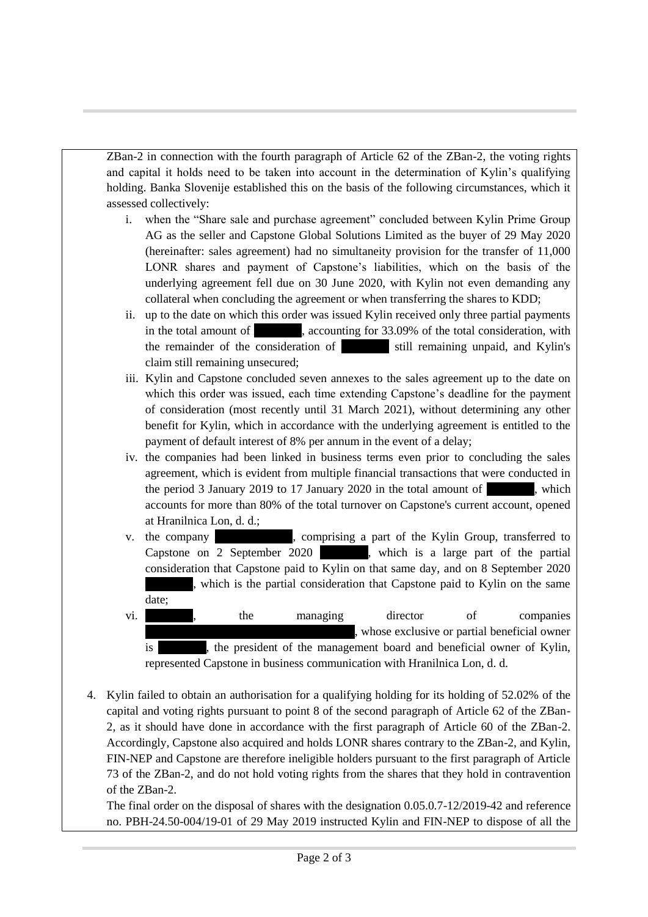ZBan-2 in connection with the fourth paragraph of Article 62 of the ZBan-2, the voting rights and capital it holds need to be taken into account in the determination of Kylin's qualifying holding. Banka Slovenije established this on the basis of the following circumstances, which it assessed collectively:

- i. when the "Share sale and purchase agreement" concluded between Kylin Prime Group AG as the seller and Capstone Global Solutions Limited as the buyer of 29 May 2020 (hereinafter: sales agreement) had no simultaneity provision for the transfer of 11,000 LONR shares and payment of Capstone's liabilities, which on the basis of the underlying agreement fell due on 30 June 2020, with Kylin not even demanding any collateral when concluding the agreement or when transferring the shares to KDD;
- ii. up to the date on which this order was issued Kylin received only three partial payments in the total amount of xxx, accounting for 33.09% of the total consideration, with the remainder of the consideration of xtill remaining unpaid, and Kylin's claim still remaining unsecured;
- iii. Kylin and Capstone concluded seven annexes to the sales agreement up to the date on which this order was issued, each time extending Capstone's deadline for the payment of consideration (most recently until 31 March 2021), without determining any other benefit for Kylin, which in accordance with the underlying agreement is entitled to the payment of default interest of 8% per annum in the event of a delay;
- iv. the companies had been linked in business terms even prior to concluding the sales agreement, which is evident from multiple financial transactions that were conducted in the period 3 January 2019 to 17 January 2020 in the total amount of  $\blacksquare$ , which accounts for more than 80% of the total turnover on Capstone's current account, opened at Hranilnica Lon, d. d.;
- v. the company states a part of the Kylin Group, transferred to Capstone on 2 September  $2020$ , which is a large part of the partial consideration that Capstone paid to Kylin on that same day, and on 8 September 2020 which is the partial consideration that Capstone paid to Kylin on the same date;
- vi.  $\qquad \qquad$  the managing director of companies , whose exclusive or partial beneficial owner , the president of the management board and beneficial owner of Kylin, represented Capstone in business communication with Hranilnica Lon, d. d.
- 4. Kylin failed to obtain an authorisation for a qualifying holding for its holding of 52.02% of the capital and voting rights pursuant to point 8 of the second paragraph of Article 62 of the ZBan-2, as it should have done in accordance with the first paragraph of Article 60 of the ZBan-2. Accordingly, Capstone also acquired and holds LONR shares contrary to the ZBan-2, and Kylin, FIN-NEP and Capstone are therefore ineligible holders pursuant to the first paragraph of Article 73 of the ZBan-2, and do not hold voting rights from the shares that they hold in contravention of the ZBan-2.

The final order on the disposal of shares with the designation 0.05.0.7-12/2019-42 and reference no. PBH-24.50-004/19-01 of 29 May 2019 instructed Kylin and FIN-NEP to dispose of all the